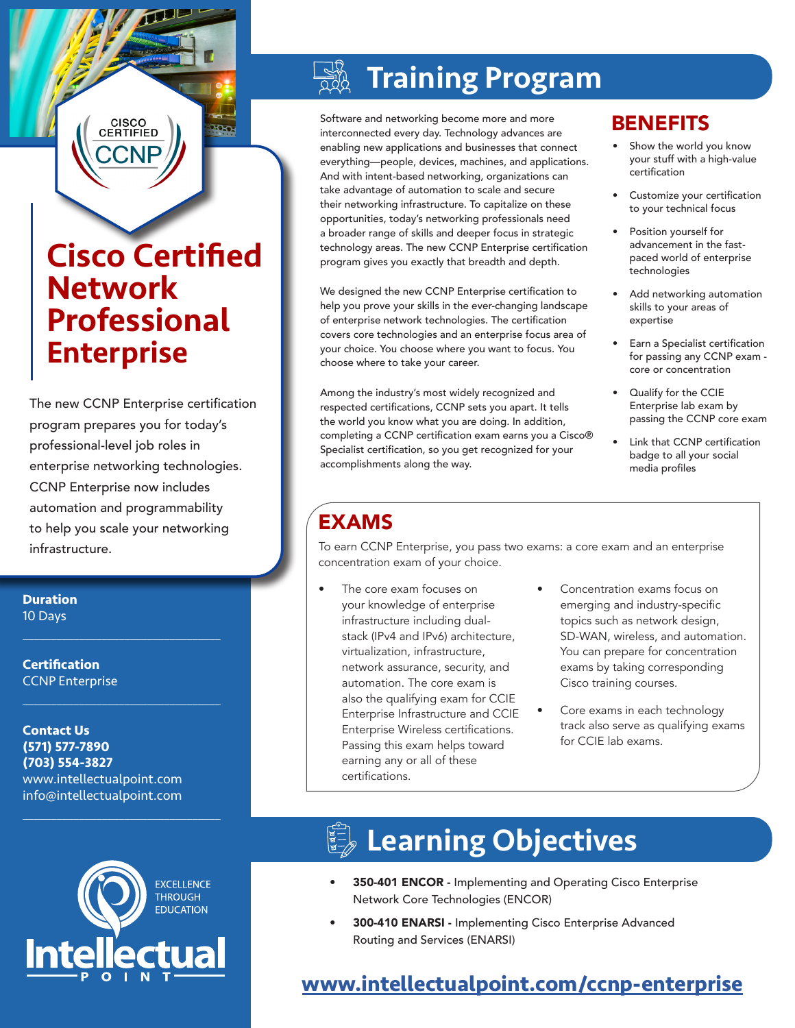## Cisco Certified Network Professional **Enterprise**

CISCO<br>CERTIFIED

**POLO** 

The new CCNP Enterprise certification program prepares you for today's professional-level job roles in enterprise networking technologies. CCNP Enterprise now includes automation and programmability to help you scale your networking infrastructure.

**Duration** 10 Days

**Certification** CCNP Enterprise

**Contact Us (571) 577-7890 (703) 554-3827** www.intellectualpoint.com info@intellectualpoint.com

 $\mathcal{L}_\text{max}$  and  $\mathcal{L}_\text{max}$  and  $\mathcal{L}_\text{max}$  and  $\mathcal{L}_\text{max}$ 

 $\mathcal{L}_\text{max}$  , and the set of the set of the set of the set of the set of the set of the set of the set of the set of the set of the set of the set of the set of the set of the set of the set of the set of the set of the

 $\mathcal{L}_\text{max}$  and  $\mathcal{L}_\text{max}$  and  $\mathcal{L}_\text{max}$  and  $\mathcal{L}_\text{max}$ 

# Training Program

Software and networking become more and more interconnected every day. Technology advances are enabling new applications and businesses that connect everything—people, devices, machines, and applications. And with intent-based networking, organizations can take advantage of automation to scale and secure their networking infrastructure. To capitalize on these opportunities, today's networking professionals need a broader range of skills and deeper focus in strategic technology areas. The new CCNP Enterprise certification program gives you exactly that breadth and depth.

We designed the new CCNP Enterprise certification to help you prove your skills in the ever-changing landscape of enterprise network technologies. The certification covers core technologies and an enterprise focus area of your choice. You choose where you want to focus. You choose where to take your career.

Among the industry's most widely recognized and respected certifications, CCNP sets you apart. It tells the world you know what you are doing. In addition, completing a CCNP certification exam earns you a Cisco® Specialist certification, so you get recognized for your accomplishments along the way.

## **BENEFITS**

- Show the world you know your stuff with a high-value certification
- Customize your certification to your technical focus
- Position yourself for advancement in the fastpaced world of enterprise technologies
- Add networking automation skills to your areas of expertise
- Earn a Specialist certification for passing any CCNP exam core or concentration
- Qualify for the CCIE Enterprise lab exam by passing the CCNP core exam
- Link that CCNP certification badge to all your social media profiles

## EXAMS

To earn CCNP Enterprise, you pass two exams: a core exam and an enterprise concentration exam of your choice.

- The core exam focuses on your knowledge of enterprise infrastructure including dualstack (IPv4 and IPv6) architecture, virtualization, infrastructure, network assurance, security, and automation. The core exam is also the qualifying exam for CCIE Enterprise Infrastructure and CCIE Enterprise Wireless certifications. Passing this exam helps toward earning any or all of these certifications.
- Concentration exams focus on emerging and industry-specific topics such as network design, SD-WAN, wireless, and automation. You can prepare for concentration exams by taking corresponding Cisco training courses.
- Core exams in each technology track also serve as qualifying exams for CCIE lab exams.



# **Learning Objectives**

- 350-401 ENCOR Implementing and Operating Cisco Enterprise Network Core Technologies (ENCOR)
- 300-410 ENARSI Implementing Cisco Enterprise Advanced Routing and Services (ENARSI)

## **[www.intellectualpoint.com/c](https://www.intellectualpoint.com/product/cisco-certified-network-professional-enterprise/)cnp-enterprise**